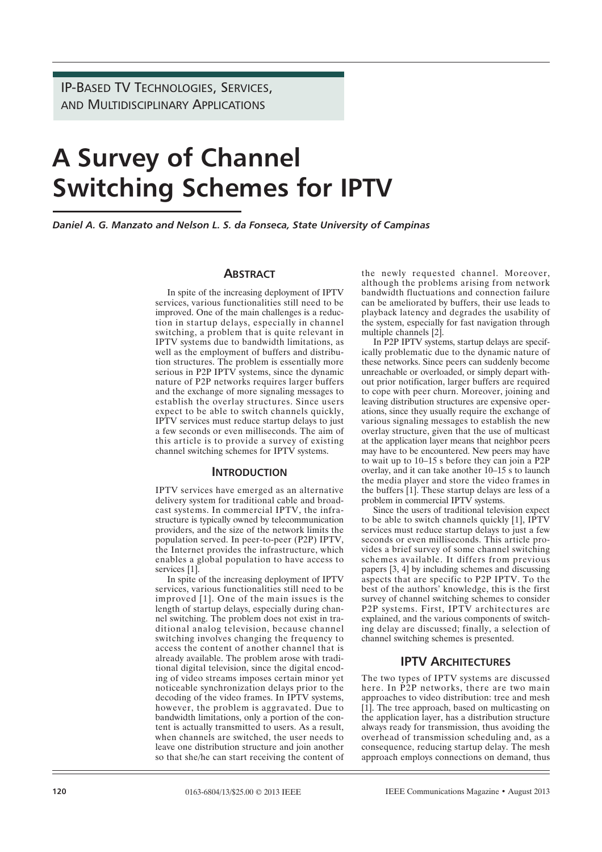IP-BASED TV TECHNOLOGIES, SERVICES, AND MULTIDISCIPLINARY APPLICATIONS

# **A Survey of Channel Switching Schemes for IPTV**

*Daniel A. G. Manzato and Nelson L. S. da Fonseca, State University of Campinas*

## **ABSTRACT**

In spite of the increasing deployment of IPTV services, various functionalities still need to be improved. One of the main challenges is a reduction in startup delays, especially in channel switching, a problem that is quite relevant in IPTV systems due to bandwidth limitations, as well as the employment of buffers and distribution structures. The problem is essentially more serious in P2P IPTV systems, since the dynamic nature of P2P networks requires larger buffers and the exchange of more signaling messages to establish the overlay structures. Since users expect to be able to switch channels quickly, IPTV services must reduce startup delays to just a few seconds or even milliseconds. The aim of this article is to provide a survey of existing channel switching schemes for IPTV systems.

### **INTRODUCTION**

IPTV services have emerged as an alternative delivery system for traditional cable and broadcast systems. In commercial IPTV, the infrastructure is typically owned by telecommunication providers, and the size of the network limits the population served. In peer-to-peer (P2P) IPTV, the Internet provides the infrastructure, which enables a global population to have access to services [1].

In spite of the increasing deployment of IPTV services, various functionalities still need to be improved [1]. One of the main issues is the length of startup delays, especially during channel switching. The problem does not exist in traditional analog television, because channel switching involves changing the frequency to access the content of another channel that is already available. The problem arose with traditional digital television, since the digital encoding of video streams imposes certain minor yet noticeable synchronization delays prior to the decoding of the video frames. In IPTV systems, however, the problem is aggravated. Due to bandwidth limitations, only a portion of the content is actually transmitted to users. As a result, when channels are switched, the user needs to leave one distribution structure and join another so that she/he can start receiving the content of the newly requested channel. Moreover, although the problems arising from network bandwidth fluctuations and connection failure can be ameliorated by buffers, their use leads to playback latency and degrades the usability of the system, especially for fast navigation through multiple channels [2].

In P2P IPTV systems, startup delays are specifically problematic due to the dynamic nature of these networks. Since peers can suddenly become unreachable or overloaded, or simply depart without prior notification, larger buffers are required to cope with peer churn. Moreover, joining and leaving distribution structures are expensive operations, since they usually require the exchange of various signaling messages to establish the new overlay structure, given that the use of multicast at the application layer means that neighbor peers may have to be encountered. New peers may have to wait up to 10–15 s before they can join a P2P overlay, and it can take another 10–15 s to launch the media player and store the video frames in the buffers [1]. These startup delays are less of a problem in commercial IPTV systems.

Since the users of traditional television expect to be able to switch channels quickly [1], IPTV services must reduce startup delays to just a few seconds or even milliseconds. This article provides a brief survey of some channel switching schemes available. It differs from previous papers [3, 4] by including schemes and discussing aspects that are specific to P2P IPTV. To the best of the authors' knowledge, this is the first survey of channel switching schemes to consider P2P systems. First, IPTV architectures are explained, and the various components of switching delay are discussed; finally, a selection of channel switching schemes is presented.

## **IPTV ARCHITECTURES**

The two types of IPTV systems are discussed here. In P2P networks, there are two main approaches to video distribution: tree and mesh [1]. The tree approach, based on multicasting on the application layer, has a distribution structure always ready for transmission, thus avoiding the overhead of transmission scheduling and, as a consequence, reducing startup delay. The mesh approach employs connections on demand, thus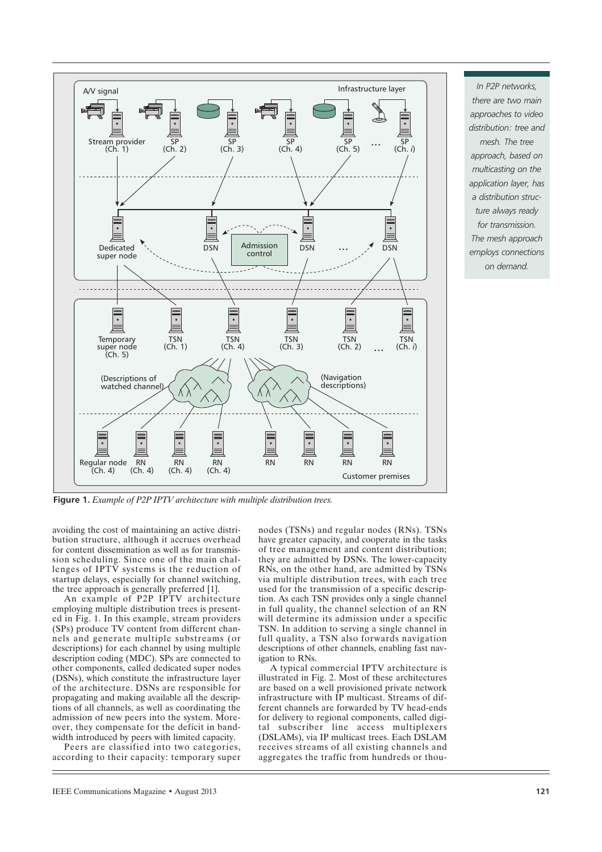

*In P2P networks, there are two main approaches to video distribution: tree and mesh. The tree approach, based on multicasting on the application layer, has a distribution structure always ready for transmission. The mesh approach employs connections on demand.*

**Figure 1.** *Example of P2P IPTV architecture with multiple distribution trees.*

avoiding the cost of maintaining an active distribution structure, although it accrues overhead for content dissemination as well as for transmission scheduling. Since one of the main challenges of IPTV systems is the reduction of startup delays, especially for channel switching, the tree approach is generally preferred [1].

An example of P2P IPTV architecture employing multiple distribution trees is presented in Fig. 1. In this example, stream providers (SPs) produce TV content from different channels and generate multiple substreams (or descriptions) for each channel by using multiple description coding (MDC). SPs are connected to other components, called dedicated super nodes (DSNs), which constitute the infrastructure layer of the architecture. DSNs are responsible for propagating and making available all the descriptions of all channels, as well as coordinating the admission of new peers into the system. Moreover, they compensate for the deficit in bandwidth introduced by peers with limited capacity.

Peers are classified into two categories, according to their capacity: temporary super nodes (TSNs) and regular nodes (RNs). TSNs have greater capacity, and cooperate in the tasks of tree management and content distribution; they are admitted by DSNs. The lower-capacity RNs, on the other hand, are admitted by TSNs via multiple distribution trees, with each tree used for the transmission of a specific description. As each TSN provides only a single channel in full quality, the channel selection of an RN will determine its admission under a specific TSN. In addition to serving a single channel in full quality, a TSN also forwards navigation descriptions of other channels, enabling fast navigation to RNs.

A typical commercial IPTV architecture is illustrated in Fig. 2. Most of these architectures are based on a well provisioned private network infrastructure with IP multicast. Streams of different channels are forwarded by TV head-ends for delivery to regional components, called digital subscriber line access multiplexers (DSLAMs), via IP multicast trees. Each DSLAM receives streams of all existing channels and aggregates the traffic from hundreds or thou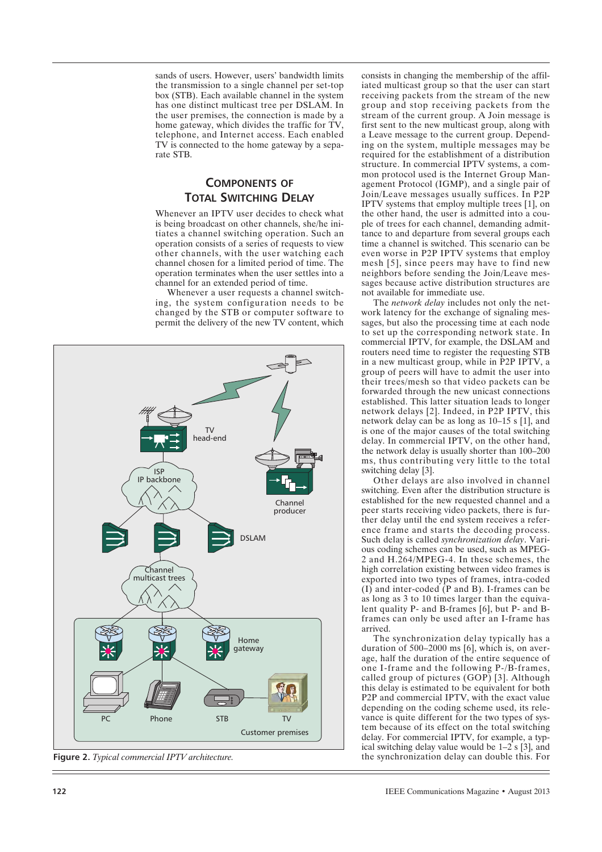sands of users. However, users' bandwidth limits the transmission to a single channel per set-top box (STB). Each available channel in the system has one distinct multicast tree per DSLAM. In the user premises, the connection is made by a home gateway, which divides the traffic for TV, telephone, and Internet access. Each enabled TV is connected to the home gateway by a separate STB.

# **COMPONENTS OF TOTAL SWITCHING DELAY**

Whenever an IPTV user decides to check what is being broadcast on other channels, she/he initiates a channel switching operation. Such an operation consists of a series of requests to view other channels, with the user watching each channel chosen for a limited period of time. The operation terminates when the user settles into a channel for an extended period of time.

Whenever a user requests a channel switching, the system configuration needs to be changed by the STB or computer software to permit the delivery of the new TV content, which



consists in changing the membership of the affiliated multicast group so that the user can start receiving packets from the stream of the new group and stop receiving packets from the stream of the current group. A Join message is first sent to the new multicast group, along with a Leave message to the current group. Depending on the system, multiple messages may be required for the establishment of a distribution structure. In commercial IPTV systems, a common protocol used is the Internet Group Management Protocol (IGMP), and a single pair of Join/Leave messages usually suffices. In P2P IPTV systems that employ multiple trees [1], on the other hand, the user is admitted into a couple of trees for each channel, demanding admittance to and departure from several groups each time a channel is switched. This scenario can be even worse in P2P IPTV systems that employ mesh [5], since peers may have to find new neighbors before sending the Join/Leave messages because active distribution structures are not available for immediate use.

The *network delay* includes not only the network latency for the exchange of signaling messages, but also the processing time at each node to set up the corresponding network state. In commercial IPTV, for example, the DSLAM and routers need time to register the requesting STB in a new multicast group, while in P2P IPTV, a group of peers will have to admit the user into their trees/mesh so that video packets can be forwarded through the new unicast connections established. This latter situation leads to longer network delays [2]. Indeed, in P2P IPTV, this network delay can be as long as 10–15 s [1], and is one of the major causes of the total switching delay. In commercial IPTV, on the other hand, the network delay is usually shorter than 100–200 ms, thus contributing very little to the total switching delay [3].

Other delays are also involved in channel switching. Even after the distribution structure is established for the new requested channel and a peer starts receiving video packets, there is further delay until the end system receives a reference frame and starts the decoding process. Such delay is called *synchronization delay*. Various coding schemes can be used, such as MPEG-2 and H.264/MPEG-4. In these schemes, the high correlation existing between video frames is exported into two types of frames, intra-coded (I) and inter-coded (P and B). I-frames can be as long as 3 to 10 times larger than the equivalent quality P- and B-frames [6], but P- and Bframes can only be used after an I-frame has arrived.

The synchronization delay typically has a duration of 500–2000 ms [6], which is, on average, half the duration of the entire sequence of one I-frame and the following P-/B-frames, called group of pictures (GOP) [3]. Although this delay is estimated to be equivalent for both P2P and commercial IPTV, with the exact value depending on the coding scheme used, its relevance is quite different for the two types of system because of its effect on the total switching delay. For commercial IPTV, for example, a typical switching delay value would be  $1-2$  s [3], and **Figure 2.** *Typical commercial IPTV architecture.* the synchronization delay can double this. For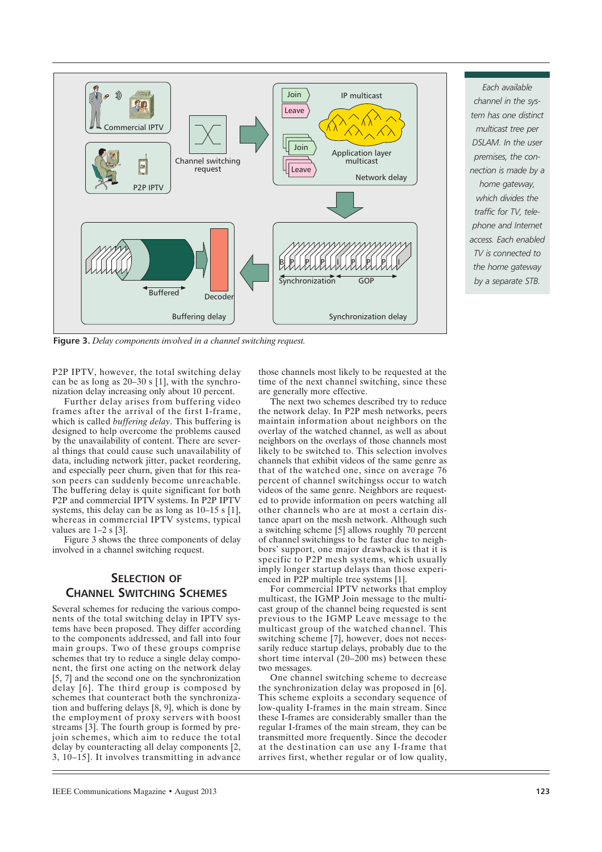

*Each available channel in the system has one distinct multicast tree per DSLAM. In the user premises, the connection is made by a home gateway, which divides the traffic for TV, telephone and Internet access. Each enabled TV is connected to the home gateway by a separate STB.*

**Figure 3.** *Delay components involved in a channel switching request.*

P2P IPTV, however, the total switching delay can be as long as 20–30 s [1], with the synchronization delay increasing only about 10 percent.

Further delay arises from buffering video frames after the arrival of the first I-frame, which is called *buffering delay*. This buffering is designed to help overcome the problems caused by the unavailability of content. There are several things that could cause such unavailability of data, including network jitter, packet reordering, and especially peer churn, given that for this reason peers can suddenly become unreachable. The buffering delay is quite significant for both P2P and commercial IPTV systems. In P2P IPTV systems, this delay can be as long as 10–15 s [1], whereas in commercial IPTV systems, typical values are 1–2 s [3].

Figure 3 shows the three components of delay involved in a channel switching request.

# **SELECTION OF CHANNEL SWITCHING SCHEMES**

Several schemes for reducing the various components of the total switching delay in IPTV systems have been proposed. They differ according to the components addressed, and fall into four main groups. Two of these groups comprise schemes that try to reduce a single delay component, the first one acting on the network delay [5, 7] and the second one on the synchronization delay [6]. The third group is composed by schemes that counteract both the synchronization and buffering delays [8, 9], which is done by the employment of proxy servers with boost streams [3]. The fourth group is formed by prejoin schemes, which aim to reduce the total delay by counteracting all delay components [2, 3, 10–15]. It involves transmitting in advance those channels most likely to be requested at the time of the next channel switching, since these are generally more effective.

The next two schemes described try to reduce the network delay. In P2P mesh networks, peers maintain information about neighbors on the overlay of the watched channel, as well as about neighbors on the overlays of those channels most likely to be switched to. This selection involves channels that exhibit videos of the same genre as that of the watched one, since on average 76 percent of channel switchingss occur to watch videos of the same genre. Neighbors are requested to provide information on peers watching all other channels who are at most a certain distance apart on the mesh network. Although such a switching scheme [5] allows roughly 70 percent of channel switchingss to be faster due to neighbors' support, one major drawback is that it is specific to P2P mesh systems, which usually imply longer startup delays than those experienced in P2P multiple tree systems [1].

For commercial IPTV networks that employ multicast, the IGMP Join message to the multicast group of the channel being requested is sent previous to the IGMP Leave message to the multicast group of the watched channel. This switching scheme [7], however, does not necessarily reduce startup delays, probably due to the short time interval  $(20-200 \text{ ms})$  between these two messages.

One channel switching scheme to decrease the synchronization delay was proposed in [6]. This scheme exploits a secondary sequence of low-quality I-frames in the main stream. Since these I-frames are considerably smaller than the regular I-frames of the main stream, they can be transmitted more frequently. Since the decoder at the destination can use any I-frame that arrives first, whether regular or of low quality,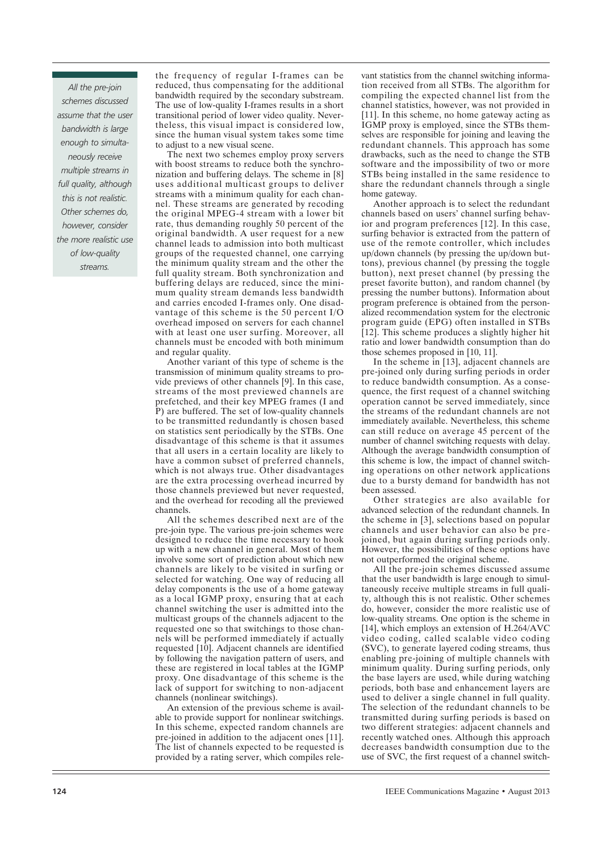*All the pre-join schemes discussed assume that the user bandwidth is large enough to simultaneously receive multiple streams in full quality, although this is not realistic. Other schemes do, however, consider the more realistic use of low-quality streams.*

the frequency of regular I-frames can be reduced, thus compensating for the additional bandwidth required by the secondary substream. The use of low-quality I-frames results in a short transitional period of lower video quality. Nevertheless, this visual impact is considered low, since the human visual system takes some time to adjust to a new visual scene.

The next two schemes employ proxy servers with boost streams to reduce both the synchronization and buffering delays. The scheme in [8] uses additional multicast groups to deliver streams with a minimum quality for each channel. These streams are generated by recoding the original MPEG-4 stream with a lower bit rate, thus demanding roughly 50 percent of the original bandwidth. A user request for a new channel leads to admission into both multicast groups of the requested channel, one carrying the minimum quality stream and the other the full quality stream. Both synchronization and buffering delays are reduced, since the minimum quality stream demands less bandwidth and carries encoded I-frames only. One disadvantage of this scheme is the 50 percent I/O overhead imposed on servers for each channel with at least one user surfing. Moreover, all channels must be encoded with both minimum and regular quality.

Another variant of this type of scheme is the transmission of minimum quality streams to provide previews of other channels [9]. In this case, streams of the most previewed channels are prefetched, and their key MPEG frames (I and P) are buffered. The set of low-quality channels to be transmitted redundantly is chosen based on statistics sent periodically by the STBs. One disadvantage of this scheme is that it assumes that all users in a certain locality are likely to have a common subset of preferred channels, which is not always true. Other disadvantages are the extra processing overhead incurred by those channels previewed but never requested, and the overhead for recoding all the previewed channels.

All the schemes described next are of the pre-join type. The various pre-join schemes were designed to reduce the time necessary to hook up with a new channel in general. Most of them involve some sort of prediction about which new channels are likely to be visited in surfing or selected for watching. One way of reducing all delay components is the use of a home gateway as a local IGMP proxy, ensuring that at each channel switching the user is admitted into the multicast groups of the channels adjacent to the requested one so that switchings to those channels will be performed immediately if actually requested [10]. Adjacent channels are identified by following the navigation pattern of users, and these are registered in local tables at the IGMP proxy. One disadvantage of this scheme is the lack of support for switching to non-adjacent channels (nonlinear switchings).

An extension of the previous scheme is available to provide support for nonlinear switchings. In this scheme, expected random channels are pre-joined in addition to the adjacent ones [11]. The list of channels expected to be requested is provided by a rating server, which compiles relevant statistics from the channel switching information received from all STBs. The algorithm for compiling the expected channel list from the channel statistics, however, was not provided in [11]. In this scheme, no home gateway acting as IGMP proxy is employed, since the STBs themselves are responsible for joining and leaving the redundant channels. This approach has some drawbacks, such as the need to change the STB software and the impossibility of two or more STBs being installed in the same residence to share the redundant channels through a single home gateway.

Another approach is to select the redundant channels based on users' channel surfing behavior and program preferences [12]. In this case, surfing behavior is extracted from the pattern of use of the remote controller, which includes up/down channels (by pressing the up/down buttons), previous channel (by pressing the toggle button), next preset channel (by pressing the preset favorite button), and random channel (by pressing the number buttons). Information about program preference is obtained from the personalized recommendation system for the electronic program guide (EPG) often installed in STBs [12]. This scheme produces a slightly higher hit ratio and lower bandwidth consumption than do those schemes proposed in [10, 11].

In the scheme in [13], adjacent channels are pre-joined only during surfing periods in order to reduce bandwidth consumption. As a consequence, the first request of a channel switching operation cannot be served immediately, since the streams of the redundant channels are not immediately available. Nevertheless, this scheme can still reduce on average 45 percent of the number of channel switching requests with delay. Although the average bandwidth consumption of this scheme is low, the impact of channel switching operations on other network applications due to a bursty demand for bandwidth has not been assessed.

Other strategies are also available for advanced selection of the redundant channels. In the scheme in [3], selections based on popular channels and user behavior can also be prejoined, but again during surfing periods only. However, the possibilities of these options have not outperformed the original scheme.

All the pre-join schemes discussed assume that the user bandwidth is large enough to simultaneously receive multiple streams in full quality, although this is not realistic. Other schemes do, however, consider the more realistic use of low-quality streams. One option is the scheme in [14], which employs an extension of H.264/AVC video coding, called scalable video coding (SVC), to generate layered coding streams, thus enabling pre-joining of multiple channels with minimum quality. During surfing periods, only the base layers are used, while during watching periods, both base and enhancement layers are used to deliver a single channel in full quality. The selection of the redundant channels to be transmitted during surfing periods is based on two different strategies: adjacent channels and recently watched ones. Although this approach decreases bandwidth consumption due to the use of SVC, the first request of a channel switch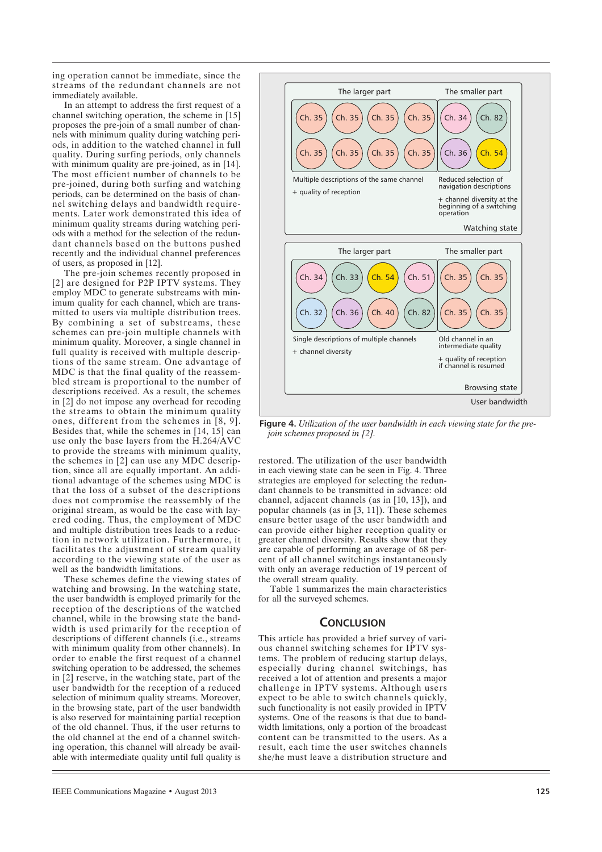ing operation cannot be immediate, since the streams of the redundant channels are not immediately available.

In an attempt to address the first request of a channel switching operation, the scheme in [15] proposes the pre-join of a small number of channels with minimum quality during watching periods, in addition to the watched channel in full quality. During surfing periods, only channels with minimum quality are pre-joined, as in [14]. The most efficient number of channels to be pre-joined, during both surfing and watching periods, can be determined on the basis of channel switching delays and bandwidth requirements. Later work demonstrated this idea of minimum quality streams during watching periods with a method for the selection of the redundant channels based on the buttons pushed recently and the individual channel preferences of users, as proposed in [12].

The pre-join schemes recently proposed in [2] are designed for P2P IPTV systems. They employ MDC to generate substreams with minimum quality for each channel, which are transmitted to users via multiple distribution trees. By combining a set of substreams, these schemes can pre-join multiple channels with minimum quality. Moreover, a single channel in full quality is received with multiple descriptions of the same stream. One advantage of MDC is that the final quality of the reassembled stream is proportional to the number of descriptions received. As a result, the schemes in [2] do not impose any overhead for recoding the streams to obtain the minimum quality ones, different from the schemes in [8, 9]. Besides that, while the schemes in [14, 15] can use only the base layers from the H.264/AVC to provide the streams with minimum quality, the schemes in [2] can use any MDC description, since all are equally important. An additional advantage of the schemes using MDC is that the loss of a subset of the descriptions does not compromise the reassembly of the original stream, as would be the case with layered coding. Thus, the employment of MDC and multiple distribution trees leads to a reduction in network utilization. Furthermore, it facilitates the adjustment of stream quality according to the viewing state of the user as well as the bandwidth limitations.

These schemes define the viewing states of watching and browsing. In the watching state, the user bandwidth is employed primarily for the reception of the descriptions of the watched channel, while in the browsing state the bandwidth is used primarily for the reception of descriptions of different channels (i.e., streams with minimum quality from other channels). In order to enable the first request of a channel switching operation to be addressed, the schemes in [2] reserve, in the watching state, part of the user bandwidth for the reception of a reduced selection of minimum quality streams. Moreover, in the browsing state, part of the user bandwidth is also reserved for maintaining partial reception of the old channel. Thus, if the user returns to the old channel at the end of a channel switching operation, this channel will already be available with intermediate quality until full quality is



**Figure 4.** *Utilization of the user bandwidth in each viewing state for the prejoin schemes proposed in [2].*

restored. The utilization of the user bandwidth in each viewing state can be seen in Fig. 4. Three strategies are employed for selecting the redundant channels to be transmitted in advance: old channel, adjacent channels (as in [10, 13]), and popular channels (as in [3, 11]). These schemes ensure better usage of the user bandwidth and can provide either higher reception quality or greater channel diversity. Results show that they are capable of performing an average of 68 percent of all channel switchings instantaneously with only an average reduction of 19 percent of the overall stream quality.

Table 1 summarizes the main characteristics for all the surveyed schemes.

## **CONCLUSION**

This article has provided a brief survey of various channel switching schemes for IPTV systems. The problem of reducing startup delays, especially during channel switchings, has received a lot of attention and presents a major challenge in IPTV systems. Although users expect to be able to switch channels quickly, such functionality is not easily provided in IPTV systems. One of the reasons is that due to bandwidth limitations, only a portion of the broadcast content can be transmitted to the users. As a result, each time the user switches channels she/he must leave a distribution structure and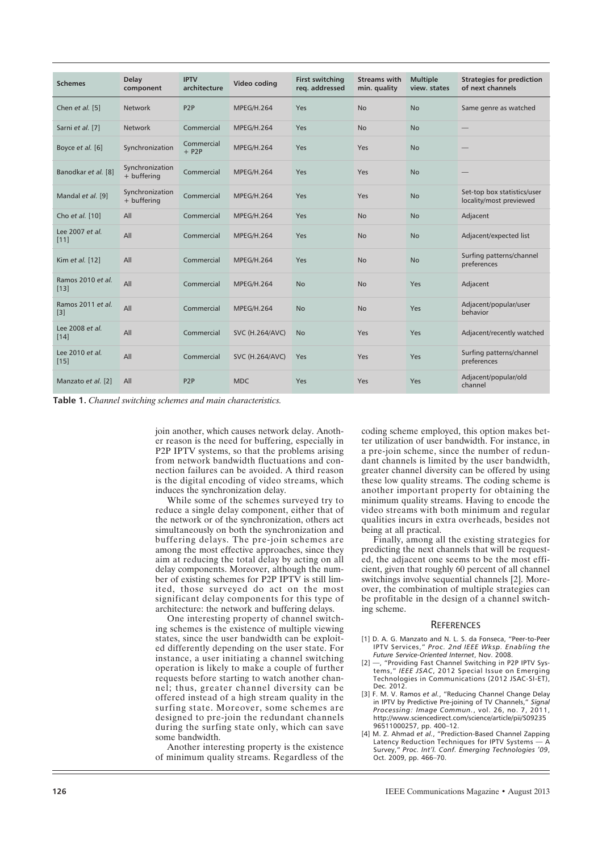| <b>Schemes</b>              | <b>Delay</b><br>component      | <b>IPTV</b><br>architecture | Video coding           | <b>First switching</b><br>reg. addressed | <b>Streams with</b><br>min. quality | <b>Multiple</b><br>view. states | <b>Strategies for prediction</b><br>of next channels   |
|-----------------------------|--------------------------------|-----------------------------|------------------------|------------------------------------------|-------------------------------------|---------------------------------|--------------------------------------------------------|
| Chen et al. [5]             | <b>Network</b>                 | P <sub>2</sub> P            | <b>MPEG/H.264</b>      | Yes                                      | <b>No</b>                           | <b>No</b>                       | Same genre as watched                                  |
| Sarni et al. [7]            | <b>Network</b>                 | Commercial                  | <b>MPEG/H.264</b>      | Yes                                      | <b>No</b>                           | <b>No</b>                       |                                                        |
| Boyce et al. [6]            | Synchronization                | Commercial<br>$+$ P2P       | <b>MPEG/H.264</b>      | Yes                                      | Yes                                 | <b>No</b>                       |                                                        |
| Banodkar et al. [8]         | Synchronization<br>+ buffering | Commercial                  | <b>MPEG/H.264</b>      | Yes                                      | Yes                                 | <b>No</b>                       |                                                        |
| Mandal et al. [9]           | Synchronization<br>+ buffering | Commercial                  | <b>MPEG/H.264</b>      | Yes                                      | Yes                                 | <b>No</b>                       | Set-top box statistics/user<br>locality/most previewed |
| Cho et al. [10]             | All                            | Commercial                  | <b>MPEG/H.264</b>      | Yes                                      | <b>No</b>                           | <b>No</b>                       | Adjacent                                               |
| Lee 2007 et al.<br>$[11]$   | All                            | Commercial                  | <b>MPEG/H.264</b>      | Yes                                      | <b>No</b>                           | <b>No</b>                       | Adjacent/expected list                                 |
| Kim et al. [12]             | All                            | Commercial                  | <b>MPEG/H.264</b>      | Yes                                      | <b>No</b>                           | <b>No</b>                       | Surfing patterns/channel<br>preferences                |
| Ramos 2010 et al.<br>$[13]$ | All                            | Commercial                  | <b>MPEG/H.264</b>      | <b>No</b>                                | <b>No</b>                           | Yes                             | Adjacent                                               |
| Ramos 2011 et al.<br>$[3]$  | All                            | Commercial                  | <b>MPEG/H.264</b>      | <b>No</b>                                | <b>No</b>                           | Yes                             | Adjacent/popular/user<br>behavior                      |
| Lee 2008 et al.<br>[14]     | All                            | Commercial                  | <b>SVC (H.264/AVC)</b> | <b>No</b>                                | Yes                                 | Yes                             | Adjacent/recently watched                              |
| Lee 2010 et al.<br>$[15]$   | All                            | Commercial                  | <b>SVC (H.264/AVC)</b> | Yes                                      | Yes                                 | Yes                             | Surfing patterns/channel<br>preferences                |
| Manzato et al. [2]          | All                            | P <sub>2</sub> P            | <b>MDC</b>             | Yes                                      | Yes                                 | Yes                             | Adjacent/popular/old<br>channel                        |

**Table 1.** *Channel switching schemes and main characteristics.*

join another, which causes network delay. Another reason is the need for buffering, especially in P2P IPTV systems, so that the problems arising from network bandwidth fluctuations and connection failures can be avoided. A third reason is the digital encoding of video streams, which induces the synchronization delay.

While some of the schemes surveyed try to reduce a single delay component, either that of the network or of the synchronization, others act simultaneously on both the synchronization and buffering delays. The pre-join schemes are among the most effective approaches, since they aim at reducing the total delay by acting on all delay components. Moreover, although the number of existing schemes for P2P IPTV is still limited, those surveyed do act on the most significant delay components for this type of architecture: the network and buffering delays.

One interesting property of channel switching schemes is the existence of multiple viewing states, since the user bandwidth can be exploited differently depending on the user state. For instance, a user initiating a channel switching operation is likely to make a couple of further requests before starting to watch another channel; thus, greater channel diversity can be offered instead of a high stream quality in the surfing state. Moreover, some schemes are designed to pre-join the redundant channels during the surfing state only, which can save some bandwidth.

Another interesting property is the existence of minimum quality streams. Regardless of the coding scheme employed, this option makes better utilization of user bandwidth. For instance, in a pre-join scheme, since the number of redundant channels is limited by the user bandwidth, greater channel diversity can be offered by using these low quality streams. The coding scheme is another important property for obtaining the minimum quality streams. Having to encode the video streams with both minimum and regular qualities incurs in extra overheads, besides not being at all practical.

Finally, among all the existing strategies for predicting the next channels that will be requested, the adjacent one seems to be the most efficient, given that roughly 60 percent of all channel switchings involve sequential channels [2]. Moreover, the combination of multiple strategies can be profitable in the design of a channel switching scheme.

#### **REFERENCES**

- [1] D. A. G. Manzato and N. L. S. da Fonseca, "Peer-to-Peer IPTV Services," *Proc. 2nd IEEE Wksp. Enabling the Future Service-Oriented Internet*, Nov. 2008.
- [2] —, "Providing Fast Channel Switching in P2P IPTV Systems," *IEEE JSAC*, 2012 Special Issue on Emerging Technologies in Communications (2012 JSAC-SI-ET), Dec. 2012.
- [3] F. M. V. Ramos *et al.*, "Reducing Channel Change Delay in IPTV by Predictive Pre-joining of TV Channels," *Signal Processing: Image Commun.*, vol. 26, no. 7, 2011, http://www.sciencedirect.com/science/article/pii/S09235 96511000257, pp. 400–12.
- [4] M. Z. Ahmad *et al.*, "Prediction-Based Channel Zapping Latency Reduction Techniques for IPTV Systems A Survey," *Proc. Int'l. Conf. Emerging Technologies '09*, Oct. 2009, pp. 466–70.